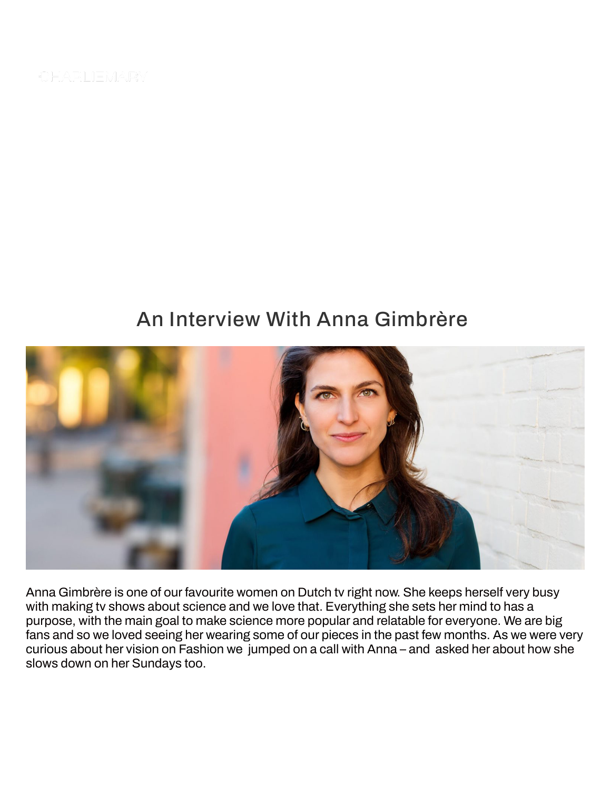CHARLIEMARY

# An Interview With Anna Gimbrère



Anna Gimbrère is one of our favourite women on Dutch tv right now. She keeps herself very busy with making tv shows about science and we love that. Everything she sets her mind to has a purpose, with the main goal to make science more popular and relatable for everyone. We are big fans and so we loved seeing her wearing some of our pieces in the past few months. As we were very curious about her vision on Fashion we jumped on a call with Anna – and asked her about how she slows down on her Sundays too.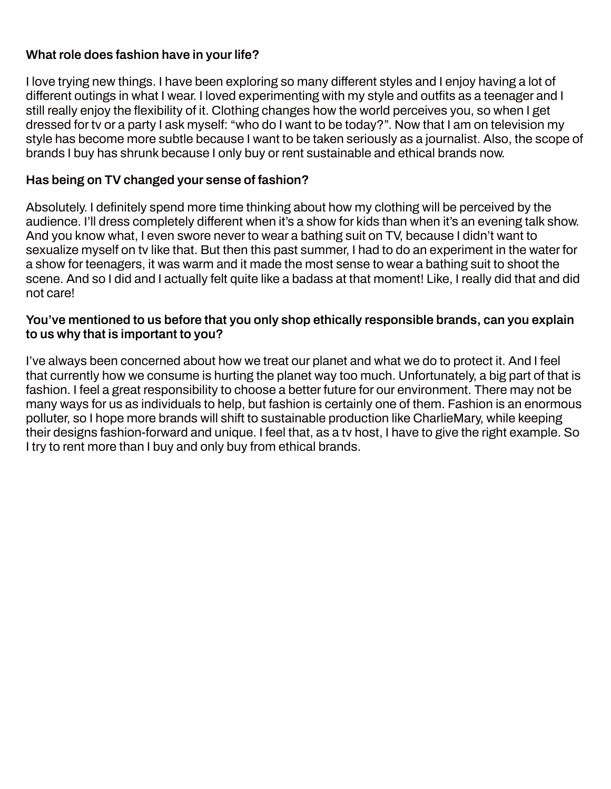## **What role does fashion have in your life?**

I love trying new things. I have been exploring so many different styles and I enjoy having a lot of different outings in what I wear. I loved experimenting with my style and outfits as a teenager and I still really enjoy the flexibility of it. Clothing changes how the world perceives you, so when I get dressed for tv or a party I ask myself: "who do I want to be today?". Now that I am on television my style has become more subtle because I want to be taken seriously as a journalist. Also, the scope of brands I buy has shrunk because I only buy or rent sustainable and ethical brands now.

## **Has being on TV changed your sense of fashion?**

Absolutely. I definitely spend more time thinking about how my clothing will be perceived by the audience. I'll dress completely different when it's a show for kids than when it's an evening talk show. And you know what, I even swore never to wear a bathing suit on TV, because I didn't want to sexualize myself on tv like that. But then this past summer, I had to do an experiment in the water for a show for teenagers, it was warm and it made the most sense to wear a bathing suit to shoot the scene. And so I did and I actually felt quite like a badass at that moment! Like, I really did that and did not care!

### **You've mentioned to us before that you only shop ethically responsible brands, can you explain to us why that is important to you?**

I've always been concerned about how we treat our planet and what we do to protect it. And I feel that currently how we consume is hurting the planet way too much. Unfortunately, a big part of that is fashion. I feel a great responsibility to choose a better future for our environment. There may not be many ways for us as individuals to help, but fashion is certainly one of them. Fashion is an enormous polluter, so I hope more brands will shift to sustainable production like CharlieMary, while keeping their designs fashion-forward and unique. I feel that, as a tv host, I have to give the right example. So I try to rent more than I buy and only buy from ethical brands.